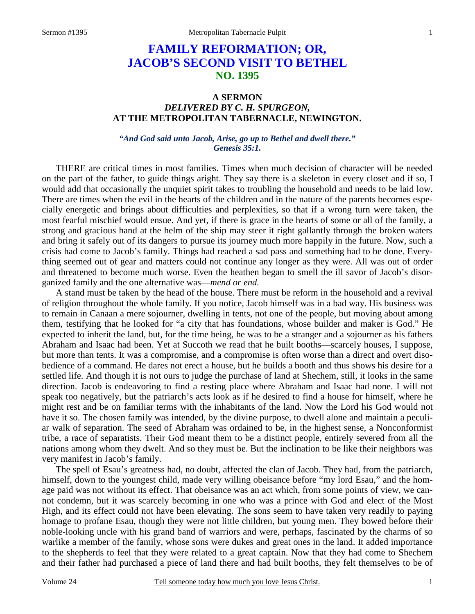# **FAMILY REFORMATION; OR, JACOB'S SECOND VISIT TO BETHEL NO. 1395**

## **A SERMON**  *DELIVERED BY C. H. SPURGEON,*  **AT THE METROPOLITAN TABERNACLE, NEWINGTON.**

#### *"And God said unto Jacob, Arise, go up to Bethel and dwell there." Genesis 35:1.*

THERE are critical times in most families. Times when much decision of character will be needed on the part of the father, to guide things aright. They say there is a skeleton in every closet and if so, I would add that occasionally the unquiet spirit takes to troubling the household and needs to be laid low. There are times when the evil in the hearts of the children and in the nature of the parents becomes especially energetic and brings about difficulties and perplexities, so that if a wrong turn were taken, the most fearful mischief would ensue. And yet, if there is grace in the hearts of some or all of the family, a strong and gracious hand at the helm of the ship may steer it right gallantly through the broken waters and bring it safely out of its dangers to pursue its journey much more happily in the future. Now, such a crisis had come to Jacob's family. Things had reached a sad pass and something had to be done. Everything seemed out of gear and matters could not continue any longer as they were. All was out of order and threatened to become much worse. Even the heathen began to smell the ill savor of Jacob's disorganized family and the one alternative was—*mend or end.*

A stand must be taken by the head of the house. There must be reform in the household and a revival of religion throughout the whole family. If you notice, Jacob himself was in a bad way. His business was to remain in Canaan a mere sojourner, dwelling in tents, not one of the people, but moving about among them, testifying that he looked for "a city that has foundations, whose builder and maker is God." He expected to inherit the land, but, for the time being, he was to be a stranger and a sojourner as his fathers Abraham and Isaac had been. Yet at Succoth we read that he built booths—scarcely houses, I suppose, but more than tents. It was a compromise, and a compromise is often worse than a direct and overt disobedience of a command. He dares not erect a house, but he builds a booth and thus shows his desire for a settled life. And though it is not ours to judge the purchase of land at Shechem, still, it looks in the same direction. Jacob is endeavoring to find a resting place where Abraham and Isaac had none. I will not speak too negatively, but the patriarch's acts look as if he desired to find a house for himself, where he might rest and be on familiar terms with the inhabitants of the land. Now the Lord his God would not have it so. The chosen family was intended, by the divine purpose, to dwell alone and maintain a peculiar walk of separation. The seed of Abraham was ordained to be, in the highest sense, a Nonconformist tribe, a race of separatists. Their God meant them to be a distinct people, entirely severed from all the nations among whom they dwelt. And so they must be. But the inclination to be like their neighbors was very manifest in Jacob's family.

The spell of Esau's greatness had, no doubt, affected the clan of Jacob. They had, from the patriarch, himself, down to the youngest child, made very willing obeisance before "my lord Esau," and the homage paid was not without its effect. That obeisance was an act which, from some points of view, we cannot condemn, but it was scarcely becoming in one who was a prince with God and elect of the Most High, and its effect could not have been elevating. The sons seem to have taken very readily to paying homage to profane Esau, though they were not little children, but young men. They bowed before their noble-looking uncle with his grand band of warriors and were, perhaps, fascinated by the charms of so warlike a member of the family, whose sons were dukes and great ones in the land. It added importance to the shepherds to feel that they were related to a great captain. Now that they had come to Shechem and their father had purchased a piece of land there and had built booths, they felt themselves to be of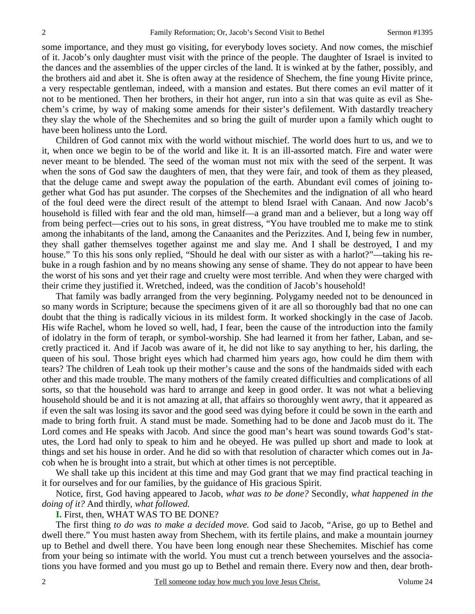some importance, and they must go visiting, for everybody loves society. And now comes, the mischief of it. Jacob's only daughter must visit with the prince of the people. The daughter of Israel is invited to the dances and the assemblies of the upper circles of the land. It is winked at by the father, possibly, and the brothers aid and abet it. She is often away at the residence of Shechem, the fine young Hivite prince, a very respectable gentleman, indeed, with a mansion and estates. But there comes an evil matter of it not to be mentioned. Then her brothers, in their hot anger, run into a sin that was quite as evil as Shechem's crime, by way of making some amends for their sister's defilement. With dastardly treachery they slay the whole of the Shechemites and so bring the guilt of murder upon a family which ought to have been holiness unto the Lord.

Children of God cannot mix with the world without mischief. The world does hurt to us, and we to it, when once we begin to be of the world and like it. It is an ill-assorted match. Fire and water were never meant to be blended. The seed of the woman must not mix with the seed of the serpent. It was when the sons of God saw the daughters of men, that they were fair, and took of them as they pleased, that the deluge came and swept away the population of the earth. Abundant evil comes of joining together what God has put asunder. The corpses of the Shechemites and the indignation of all who heard of the foul deed were the direct result of the attempt to blend Israel with Canaan. And now Jacob's household is filled with fear and the old man, himself—a grand man and a believer, but a long way off from being perfect—cries out to his sons, in great distress, "You have troubled me to make me to stink among the inhabitants of the land, among the Canaanites and the Perizzites. And I, being few in number, they shall gather themselves together against me and slay me. And I shall be destroyed, I and my house." To this his sons only replied, "Should he deal with our sister as with a harlot?"—taking his rebuke in a rough fashion and by no means showing any sense of shame. They do not appear to have been the worst of his sons and yet their rage and cruelty were most terrible. And when they were charged with their crime they justified it. Wretched, indeed, was the condition of Jacob's household!

That family was badly arranged from the very beginning. Polygamy needed not to be denounced in so many words in Scripture; because the specimens given of it are all so thoroughly bad that no one can doubt that the thing is radically vicious in its mildest form. It worked shockingly in the case of Jacob. His wife Rachel, whom he loved so well, had, I fear, been the cause of the introduction into the family of idolatry in the form of teraph, or symbol-worship. She had learned it from her father, Laban, and secretly practiced it. And if Jacob was aware of it, he did not like to say anything to her, his darling, the queen of his soul. Those bright eyes which had charmed him years ago, how could he dim them with tears? The children of Leah took up their mother's cause and the sons of the handmaids sided with each other and this made trouble. The many mothers of the family created difficulties and complications of all sorts, so that the household was hard to arrange and keep in good order. It was not what a believing household should be and it is not amazing at all, that affairs so thoroughly went awry, that it appeared as if even the salt was losing its savor and the good seed was dying before it could be sown in the earth and made to bring forth fruit. A stand must be made. Something had to be done and Jacob must do it. The Lord comes and He speaks with Jacob. And since the good man's heart was sound towards God's statutes, the Lord had only to speak to him and he obeyed. He was pulled up short and made to look at things and set his house in order. And he did so with that resolution of character which comes out in Jacob when he is brought into a strait, but which at other times is not perceptible.

We shall take up this incident at this time and may God grant that we may find practical teaching in it for ourselves and for our families, by the guidance of His gracious Spirit.

Notice, first, God having appeared to Jacob, *what was to be done?* Secondly, *what happened in the doing of it?* And thirdly, *what followed.*

**I.** First, then, WHAT WAS TO BE DONE?

The first thing *to do was to make a decided move.* God said to Jacob, "Arise, go up to Bethel and dwell there." You must hasten away from Shechem, with its fertile plains, and make a mountain journey up to Bethel and dwell there. You have been long enough near these Shechemites. Mischief has come from your being so intimate with the world. You must cut a trench between yourselves and the associations you have formed and you must go up to Bethel and remain there. Every now and then, dear broth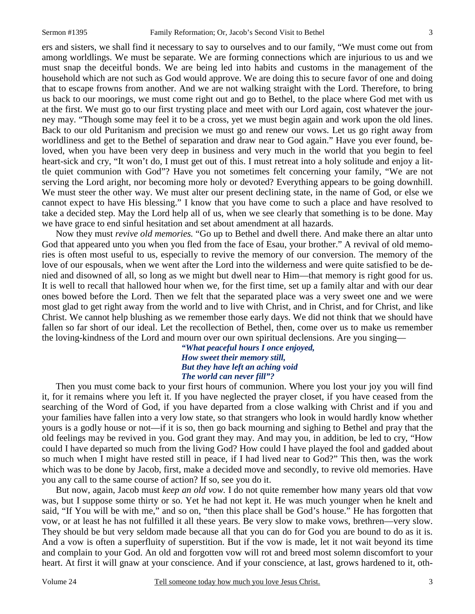ers and sisters, we shall find it necessary to say to ourselves and to our family, "We must come out from among worldlings. We must be separate. We are forming connections which are injurious to us and we must snap the deceitful bonds. We are being led into habits and customs in the management of the household which are not such as God would approve. We are doing this to secure favor of one and doing that to escape frowns from another. And we are not walking straight with the Lord. Therefore, to bring us back to our moorings, we must come right out and go to Bethel, to the place where God met with us at the first. We must go to our first trysting place and meet with our Lord again, cost whatever the journey may. "Though some may feel it to be a cross, yet we must begin again and work upon the old lines. Back to our old Puritanism and precision we must go and renew our vows. Let us go right away from worldliness and get to the Bethel of separation and draw near to God again." Have you ever found, beloved, when you have been very deep in business and very much in the world that you begin to feel heart-sick and cry, "It won't do, I must get out of this. I must retreat into a holy solitude and enjoy a little quiet communion with God"? Have you not sometimes felt concerning your family, "We are not serving the Lord aright, nor becoming more holy or devoted? Everything appears to be going downhill. We must steer the other way. We must alter our present declining state, in the name of God, or else we cannot expect to have His blessing." I know that you have come to such a place and have resolved to take a decided step. May the Lord help all of us, when we see clearly that something is to be done. May we have grace to end sinful hesitation and set about amendment at all hazards.

Now they must *revive old memories.* "Go up to Bethel and dwell there. And make there an altar unto God that appeared unto you when you fled from the face of Esau, your brother." A revival of old memories is often most useful to us, especially to revive the memory of our conversion. The memory of the love of our espousals, when we went after the Lord into the wilderness and were quite satisfied to be denied and disowned of all, so long as we might but dwell near to Him—that memory is right good for us. It is well to recall that hallowed hour when we, for the first time, set up a family altar and with our dear ones bowed before the Lord. Then we felt that the separated place was a very sweet one and we were most glad to get right away from the world and to live with Christ, and in Christ, and for Christ, and like Christ. We cannot help blushing as we remember those early days. We did not think that we should have fallen so far short of our ideal. Let the recollection of Bethel, then, come over us to make us remember the loving-kindness of the Lord and mourn over our own spiritual declensions. Are you singing—

> *"What peaceful hours I once enjoyed, How sweet their memory still, But they have left an aching void The world can never fill"?*

Then you must come back to your first hours of communion. Where you lost your joy you will find it, for it remains where you left it. If you have neglected the prayer closet, if you have ceased from the searching of the Word of God, if you have departed from a close walking with Christ and if you and your families have fallen into a very low state, so that strangers who look in would hardly know whether yours is a godly house or not—if it is so, then go back mourning and sighing to Bethel and pray that the old feelings may be revived in you. God grant they may. And may you, in addition, be led to cry, "How could I have departed so much from the living God? How could I have played the fool and gadded about so much when I might have rested still in peace, if I had lived near to God?" This then, was the work which was to be done by Jacob, first, make a decided move and secondly, to revive old memories. Have you any call to the same course of action? If so, see you do it.

But now, again, Jacob must *keep an old vow.* I do not quite remember how many years old that vow was, but I suppose some thirty or so. Yet he had not kept it. He was much younger when he knelt and said, "If You will be with me," and so on, "then this place shall be God's house." He has forgotten that vow, or at least he has not fulfilled it all these years. Be very slow to make vows, brethren—very slow. They should be but very seldom made because all that you can do for God you are bound to do as it is. And a vow is often a superfluity of superstition. But if the vow is made, let it not wait beyond its time and complain to your God. An old and forgotten vow will rot and breed most solemn discomfort to your heart. At first it will gnaw at your conscience. And if your conscience, at last, grows hardened to it, oth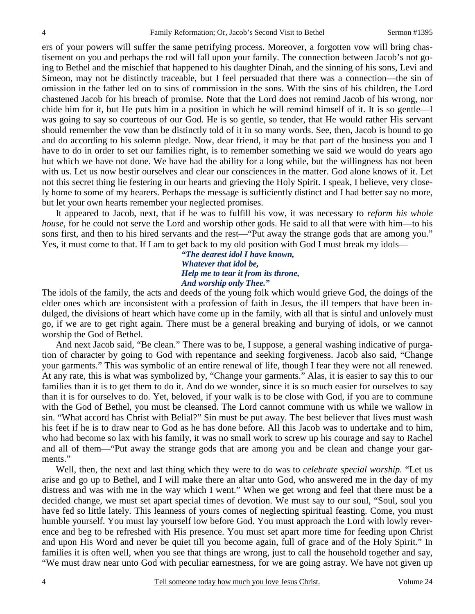ers of your powers will suffer the same petrifying process. Moreover, a forgotten vow will bring chastisement on you and perhaps the rod will fall upon your family. The connection between Jacob's not going to Bethel and the mischief that happened to his daughter Dinah, and the sinning of his sons, Levi and Simeon, may not be distinctly traceable, but I feel persuaded that there was a connection—the sin of omission in the father led on to sins of commission in the sons. With the sins of his children, the Lord chastened Jacob for his breach of promise. Note that the Lord does not remind Jacob of his wrong, nor chide him for it, but He puts him in a position in which he will remind himself of it. It is so gentle—I was going to say so courteous of our God. He is so gentle, so tender, that He would rather His servant should remember the vow than be distinctly told of it in so many words. See, then, Jacob is bound to go and do according to his solemn pledge. Now, dear friend, it may be that part of the business you and I have to do in order to set our families right, is to remember something we said we would do years ago but which we have not done. We have had the ability for a long while, but the willingness has not been with us. Let us now bestir ourselves and clear our consciences in the matter. God alone knows of it. Let not this secret thing lie festering in our hearts and grieving the Holy Spirit. I speak, I believe, very closely home to some of my hearers. Perhaps the message is sufficiently distinct and I had better say no more, but let your own hearts remember your neglected promises.

It appeared to Jacob, next, that if he was to fulfill his vow, it was necessary to *reform his whole house*, for he could not serve the Lord and worship other gods. He said to all that were with him—to his sons first, and then to his hired servants and the rest—"Put away the strange gods that are among you." Yes, it must come to that. If I am to get back to my old position with God I must break my idols—

> *"The dearest idol I have known, Whatever that idol be, Help me to tear it from its throne, And worship only Thee."*

The idols of the family, the acts and deeds of the young folk which would grieve God, the doings of the elder ones which are inconsistent with a profession of faith in Jesus, the ill tempers that have been indulged, the divisions of heart which have come up in the family, with all that is sinful and unlovely must go, if we are to get right again. There must be a general breaking and burying of idols, or we cannot worship the God of Bethel.

And next Jacob said, "Be clean." There was to be, I suppose, a general washing indicative of purgation of character by going to God with repentance and seeking forgiveness. Jacob also said, "Change your garments." This was symbolic of an entire renewal of life, though I fear they were not all renewed. At any rate, this is what was symbolized by, "Change your garments." Alas, it is easier to say this to our families than it is to get them to do it. And do we wonder, since it is so much easier for ourselves to say than it is for ourselves to do. Yet, beloved, if your walk is to be close with God, if you are to commune with the God of Bethel, you must be cleansed. The Lord cannot commune with us while we wallow in sin. "What accord has Christ with Belial?" Sin must be put away. The best believer that lives must wash his feet if he is to draw near to God as he has done before. All this Jacob was to undertake and to him, who had become so lax with his family, it was no small work to screw up his courage and say to Rachel and all of them—"Put away the strange gods that are among you and be clean and change your garments."

Well, then, the next and last thing which they were to do was to *celebrate special worship.* "Let us arise and go up to Bethel, and I will make there an altar unto God, who answered me in the day of my distress and was with me in the way which I went." When we get wrong and feel that there must be a decided change, we must set apart special times of devotion. We must say to our soul, "Soul, soul you have fed so little lately. This leanness of yours comes of neglecting spiritual feasting. Come, you must humble yourself. You must lay yourself low before God. You must approach the Lord with lowly reverence and beg to be refreshed with His presence. You must set apart more time for feeding upon Christ and upon His Word and never be quiet till you become again, full of grace and of the Holy Spirit." In families it is often well, when you see that things are wrong, just to call the household together and say, "We must draw near unto God with peculiar earnestness, for we are going astray. We have not given up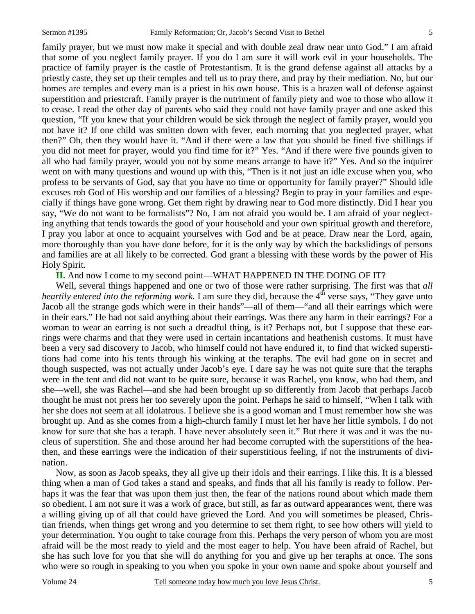family prayer, but we must now make it special and with double zeal draw near unto God." I am afraid that some of you neglect family prayer. If you do I am sure it will work evil in your households. The practice of family prayer is the castle of Protestantism. It is the grand defense against all attacks by a priestly caste, they set up their temples and tell us to pray there, and pray by their mediation. No, but our homes are temples and every man is a priest in his own house. This is a brazen wall of defense against superstition and priestcraft. Family prayer is the nutriment of family piety and woe to those who allow it to cease. I read the other day of parents who said they could not have family prayer and one asked this question, "If you knew that your children would be sick through the neglect of family prayer, would you not have it? If one child was smitten down with fever, each morning that you neglected prayer, what then?" Oh, then they would have it. "And if there were a law that you should be fined five shillings if you did not meet for prayer, would you find time for it?" Yes. "And if there were five pounds given to all who had family prayer, would you not by some means arrange to have it?" Yes. And so the inquirer went on with many questions and wound up with this, "Then is it not just an idle excuse when you, who profess to be servants of God, say that you have no time or opportunity for family prayer?" Should idle excuses rob God of His worship and our families of a blessing? Begin to pray in your families and especially if things have gone wrong. Get them right by drawing near to God more distinctly. Did I hear you say, "We do not want to be formalists"? No, I am not afraid you would be. I am afraid of your neglecting anything that tends towards the good of your household and your own spiritual growth and therefore, I pray you labor at once to acquaint yourselves with God and be at peace. Draw near the Lord, again, more thoroughly than you have done before, for it is the only way by which the backslidings of persons and families are at all likely to be corrected. God grant a blessing with these words by the power of His Holy Spirit.

**II.** And now I come to my second point—WHAT HAPPENED IN THE DOING OF IT?

Well, several things happened and one or two of those were rather surprising. The first was that *all heartily entered into the reforming work.* I am sure they did, because the 4<sup>th</sup> verse says, "They gave unto Jacob all the strange gods which were in their hands"—all of them—"and all their earrings which were in their ears." He had not said anything about their earrings. Was there any harm in their earrings? For a woman to wear an earring is not such a dreadful thing, is it? Perhaps not, but I suppose that these earrings were charms and that they were used in certain incantations and heathenish customs. It must have been a very sad discovery to Jacob, who himself could not have endured it, to find that wicked superstitions had come into his tents through his winking at the teraphs. The evil had gone on in secret and though suspected, was not actually under Jacob's eye. I dare say he was not quite sure that the teraphs were in the tent and did not want to be quite sure, because it was Rachel, you know, who had them, and she—well, she was Rachel—and she had been brought up so differently from Jacob that perhaps Jacob thought he must not press her too severely upon the point. Perhaps he said to himself, "When I talk with her she does not seem at all idolatrous. I believe she is a good woman and I must remember how she was brought up. And as she comes from a high-church family I must let her have her little symbols. I do not know for sure that she has a teraph. I have never absolutely seen it." But there it was and it was the nucleus of superstition. She and those around her had become corrupted with the superstitions of the heathen, and these earrings were the indication of their superstitious feeling, if not the instruments of divination.

Now, as soon as Jacob speaks, they all give up their idols and their earrings. I like this. It is a blessed thing when a man of God takes a stand and speaks, and finds that all his family is ready to follow. Perhaps it was the fear that was upon them just then, the fear of the nations round about which made them so obedient. I am not sure it was a work of grace, but still, as far as outward appearances went, there was a willing giving up of all that could have grieved the Lord. And you will sometimes be pleased, Christian friends, when things get wrong and you determine to set them right, to see how others will yield to your determination. You ought to take courage from this. Perhaps the very person of whom you are most afraid will be the most ready to yield and the most eager to help. You have been afraid of Rachel, but she has such love for you that she will do anything for you and give up her teraphs at once. The sons who were so rough in speaking to you when you spoke in your own name and spoke about yourself and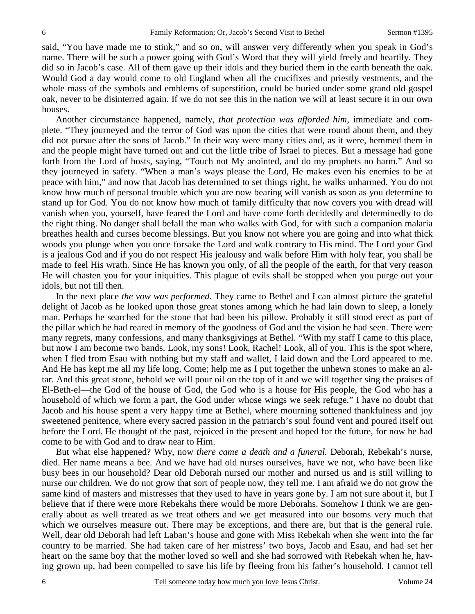said, "You have made me to stink," and so on, will answer very differently when you speak in God's name. There will be such a power going with God's Word that they will yield freely and heartily. They did so in Jacob's case. All of them gave up their idols and they buried them in the earth beneath the oak. Would God a day would come to old England when all the crucifixes and priestly vestments, and the whole mass of the symbols and emblems of superstition, could be buried under some grand old gospel oak, never to be disinterred again. If we do not see this in the nation we will at least secure it in our own houses.

Another circumstance happened, namely, *that protection was afforded him,* immediate and complete. "They journeyed and the terror of God was upon the cities that were round about them, and they did not pursue after the sons of Jacob." In their way were many cities and, as it were, hemmed them in and the people might have turned out and cut the little tribe of Israel to pieces. But a message had gone forth from the Lord of hosts, saying, "Touch not My anointed, and do my prophets no harm." And so they journeyed in safety. "When a man's ways please the Lord, He makes even his enemies to be at peace with him," and now that Jacob has determined to set things right, he walks unharmed. You do not know how much of personal trouble which you are now bearing will vanish as soon as you determine to stand up for God. You do not know how much of family difficulty that now covers you with dread will vanish when you, yourself, have feared the Lord and have come forth decidedly and determinedly to do the right thing. No danger shall befall the man who walks with God, for with such a companion malaria breathes health and curses become blessings. But you know not where you are going and into what thick woods you plunge when you once forsake the Lord and walk contrary to His mind. The Lord your God is a jealous God and if you do not respect His jealousy and walk before Him with holy fear, you shall be made to feel His wrath. Since He has known you only, of all the people of the earth, for that very reason He will chasten you for your iniquities. This plague of evils shall be stopped when you purge out your idols, but not till then.

In the next place *the vow was performed.* They came to Bethel and I can almost picture the grateful delight of Jacob as he looked upon those great stones among which he had lain down to sleep, a lonely man. Perhaps he searched for the stone that had been his pillow. Probably it still stood erect as part of the pillar which he had reared in memory of the goodness of God and the vision he had seen. There were many regrets, many confessions, and many thanksgivings at Bethel. "With my staff I came to this place, but now I am become two bands. Look, my sons! Look, Rachel! Look, all of you. This is the spot where, when I fled from Esau with nothing but my staff and wallet, I laid down and the Lord appeared to me. And He has kept me all my life long. Come; help me as I put together the unhewn stones to make an altar. And this great stone, behold we will pour oil on the top of it and we will together sing the praises of El-Beth-el—the God of the house of God, the God who is a house for His people, the God who has a household of which we form a part, the God under whose wings we seek refuge." I have no doubt that Jacob and his house spent a very happy time at Bethel, where mourning softened thankfulness and joy sweetened penitence, where every sacred passion in the patriarch's soul found vent and poured itself out before the Lord. He thought of the past, rejoiced in the present and hoped for the future, for now he had come to be with God and to draw near to Him.

But what else happened? Why, now *there came a death and a funeral.* Deborah, Rebekah's nurse, died. Her name means a bee. And we have had old nurses ourselves, have we not, who have been like busy bees in our household? Dear old Deborah nursed our mother and nursed us and is still willing to nurse our children. We do not grow that sort of people now, they tell me. I am afraid we do not grow the same kind of masters and mistresses that they used to have in years gone by. I am not sure about it, but I believe that if there were more Rebekahs there would be more Deborahs. Somehow I think we are generally about as well treated as we treat others and we get measured into our bosoms very much that which we ourselves measure out. There may be exceptions, and there are, but that is the general rule. Well, dear old Deborah had left Laban's house and gone with Miss Rebekah when she went into the far country to be married. She had taken care of her mistress' two boys, Jacob and Esau, and had set her heart on the same boy that the mother loved so well and she had sorrowed with Rebekah when he, having grown up, had been compelled to save his life by fleeing from his father's household. I cannot tell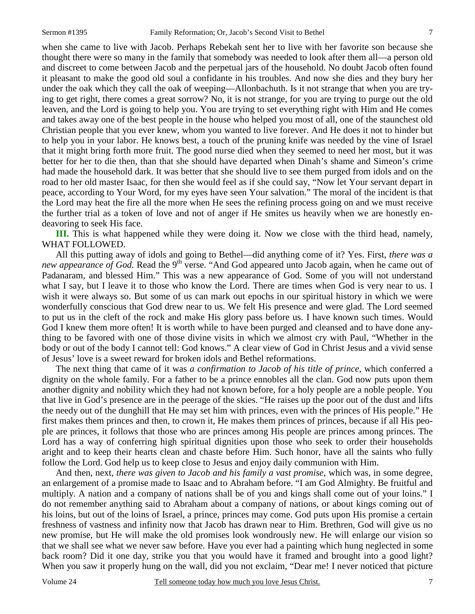when she came to live with Jacob. Perhaps Rebekah sent her to live with her favorite son because she thought there were so many in the family that somebody was needed to look after them all—a person old and discreet to come between Jacob and the perpetual jars of the household. No doubt Jacob often found it pleasant to make the good old soul a confidante in his troubles. And now she dies and they bury her under the oak which they call the oak of weeping—Allonbachuth. Is it not strange that when you are trying to get right, there comes a great sorrow? No, it is not strange, for you are trying to purge out the old leaven, and the Lord is going to help you. You are trying to set everything right with Him and He comes and takes away one of the best people in the house who helped you most of all, one of the staunchest old Christian people that you ever knew, whom you wanted to live forever. And He does it not to hinder but to help you in your labor. He knows best, a touch of the pruning knife was needed by the vine of Israel that it might bring forth more fruit. The good nurse died when they seemed to need her most, but it was better for her to die then, than that she should have departed when Dinah's shame and Simeon's crime had made the household dark. It was better that she should live to see them purged from idols and on the road to her old master Isaac, for then she would feel as if she could say, "Now let Your servant depart in peace, according to Your Word, for my eyes have seen Your salvation." The moral of the incident is that the Lord may heat the fire all the more when He sees the refining process going on and we must receive the further trial as a token of love and not of anger if He smites us heavily when we are honestly endeavoring to seek His face.

**III.** This is what happened while they were doing it. Now we close with the third head, namely, WHAT FOLLOWED.

All this putting away of idols and going to Bethel—did anything come of it? Yes. First, *there was a new appearance of God.* Read the 9<sup>th</sup> verse. "And God appeared unto Jacob again, when he came out of Padanaram, and blessed Him." This was a new appearance of God. Some of you will not understand what I say, but I leave it to those who know the Lord. There are times when God is very near to us. I wish it were always so. But some of us can mark out epochs in our spiritual history in which we were wonderfully conscious that God drew near to us. We felt His presence and were glad. The Lord seemed to put us in the cleft of the rock and make His glory pass before us. I have known such times. Would God I knew them more often! It is worth while to have been purged and cleansed and to have done anything to be favored with one of those divine visits in which we almost cry with Paul, "Whether in the body or out of the body I cannot tell: God knows." A clear view of God in Christ Jesus and a vivid sense of Jesus' love is a sweet reward for broken idols and Bethel reformations.

The next thing that came of it was *a confirmation to Jacob of his title of prince,* which conferred a dignity on the whole family. For a father to be a prince ennobles all the clan. God now puts upon them another dignity and nobility which they had not known before, for a holy people are a noble people. You that live in God's presence are in the peerage of the skies. "He raises up the poor out of the dust and lifts the needy out of the dunghill that He may set him with princes, even with the princes of His people." He first makes them princes and then, to crown it, He makes them princes of princes, because if all His people are princes, it follows that those who are princes among His people are princes among princes. The Lord has a way of conferring high spiritual dignities upon those who seek to order their households aright and to keep their hearts clean and chaste before Him. Such honor, have all the saints who fully follow the Lord. God help us to keep close to Jesus and enjoy daily communion with Him.

And then, next, *there was given to Jacob and his family a vast promise,* which was, in some degree, an enlargement of a promise made to Isaac and to Abraham before. "I am God Almighty. Be fruitful and multiply. A nation and a company of nations shall be of you and kings shall come out of your loins." I do not remember anything said to Abraham about a company of nations, or about kings coming out of his loins, but out of the loins of Israel, a prince, princes may come. God puts upon His promise a certain freshness of vastness and infinity now that Jacob has drawn near to Him. Brethren, God will give us no new promise, but He will make the old promises look wondrously new. He will enlarge our vision so that we shall see what we never saw before. Have you ever had a painting which hung neglected in some back room? Did it one day, strike you that you would have it framed and brought into a good light? When you saw it properly hung on the wall, did you not exclaim, "Dear me! I never noticed that picture